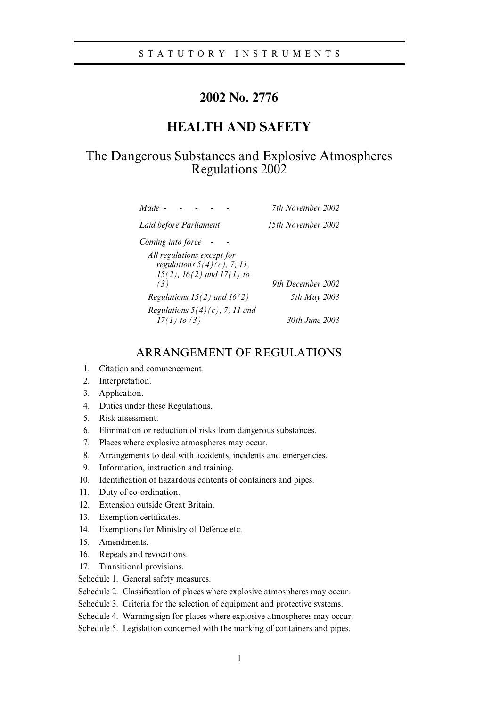# **2002 No. 2776**

# **HEALTH AND SAFETY**

# The Dangerous Substances and Explosive Atmospheres Regulations 2002

| Made -                                                                                           | 7th November 2002  |
|--------------------------------------------------------------------------------------------------|--------------------|
| Laid before Parliament                                                                           | 15th November 2002 |
| Coming into force                                                                                |                    |
| All regulations except for<br>regulations $5(4)(c)$ , 7, 11,<br>$15(2)$ , $16(2)$ and $17(1)$ to |                    |
| (3)                                                                                              | 9th December 2002  |
| Regulations $15(2)$ and $16(2)$                                                                  | 5th May 2003       |
| Regulations $5(4)(c)$ , 7, 11 and<br>$17(1)$ to (3)                                              | 30th June 2003     |

## ARRANGEMENT OF REGULATIONS

- 1. Citation and commencement.
- 2. Interpretation.
- 3. Application.
- 4. Duties under these Regulations.
- 5. Risk assessment.
- 6. Elimination or reduction of risks from dangerous substances.
- 7. Places where explosive atmospheres may occur.
- 8. Arrangements to deal with accidents, incidents and emergencies.
- 9. Information, instruction and training.
- 10. Identification of hazardous contents of containers and pipes.
- 11. Duty of co-ordination.
- 12. Extension outside Great Britain.
- 13. Exemption certificates.
- 14. Exemptions for Ministry of Defence etc.
- 15. Amendments.
- 16. Repeals and revocations.
- 17. Transitional provisions.
- Schedule 1. General safety measures.
- Schedule 2. Classification of places where explosive atmospheres may occur.
- Schedule 3. Criteria for the selection of equipment and protective systems.
- Schedule 4. Warning sign for places where explosive atmospheres may occur.
- Schedule 5. Legislation concerned with the marking of containers and pipes.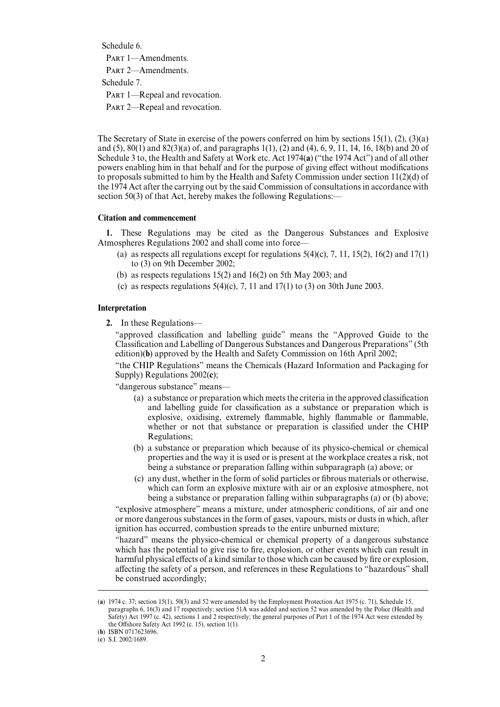Schedule 6.

PART 1-Amendments.

PART 2-Amendments.

Schedule 7.

PART 1—Repeal and revocation.

PART 2—Repeal and revocation.

The Secretary of State in exercise of the powers conferred on him by sections 15(1), (2), (3)(a) and (5), 80(1) and 82(3)(a) of, and paragraphs 1(1), (2) and (4), 6, 9, 11, 14, 16, 18(b) and 20 of Schedule 3 to, the Health and Safety at Work etc. Act 1974(**a**) ("the 1974 Act") and of all other powers enabling him in that behalf and for the purpose of giving effect without modifications to proposals submitted to him by the Health and Safety Commission under section 11(2)(d) of the 1974 Act after the carrying out by the said Commission of consultations in accordance with section 50(3) of that Act, hereby makes the following Regulations:—

## **Citation and commencement**

**1.** These Regulations may be cited as the Dangerous Substances and Explosive Atmospheres Regulations 2002 and shall come into force—

- (a) as respects all regulations except for regulations  $5(4)(c)$ ,  $7$ ,  $11$ ,  $15(2)$ ,  $16(2)$  and  $17(1)$ to (3) on 9th December 2002;
- (b) as respects regulations 15(2) and 16(2) on 5th May 2003; and
- (c) as respects regulations  $5(4)(c)$ , 7, 11 and  $17(1)$  to (3) on 30th June 2003.

## **Interpretation**

**2.** In these Regulations—

"approved classification and labelling guide" means the "Approved Guide to the Classification and Labelling of Dangerous Substances and Dangerous Preparations" (5th edition)(**b**) approved by the Health and Safety Commission on 16th April 2002;

"the CHIP Regulations" means the Chemicals (Hazard Information and Packaging for Supply) Regulations 2002(**c**);

"dangerous substance" means—

- (a) a substance or preparation which meets the criteria in the approved classification and labelling guide for classification as a substance or preparation which is explosive, oxidising, extremely flammable, highly flammable or flammable, whether or not that substance or preparation is classified under the CHIP Regulations;
- (b) a substance or preparation which because of its physico-chemical or chemical properties and the way it is used or is present at the workplace creates a risk, not being a substance or preparation falling within subparagraph (a) above; or
- (c) any dust, whether in the form of solid particles or fibrous materials or otherwise, which can form an explosive mixture with air or an explosive atmosphere, not being a substance or preparation falling within subparagraphs (a) or (b) above;

"explosive atmosphere" means a mixture, under atmospheric conditions, of air and one or more dangerous substances in the form of gases, vapours, mists or dusts in which, after ignition has occurred, combustion spreads to the entire unburned mixture;

"hazard" means the physico-chemical or chemical property of a dangerous substance which has the potential to give rise to fire, explosion, or other events which can result in harmful physical effects of a kind similar to those which can be caused by fire or explosion, affecting the safety of a person, and references in these Regulations to "hazardous" shall be construed accordingly;

<sup>(</sup>a)  $1974$  c. 37; section 15(1), 50(3) and 52 were amended by the Employment Protection Act 1975 (c. 71), Schedule 15, paragraphs 6, 16(3) and 17 respectively; section 51A was added and section 52 was amended by the Police (Health and Safety) Act 1997 (c. 42), sections 1 and 2 respectively; the general purposes of Part 1 of the 1974 Act were extended by the Offshore Safety Act 1992 (c. 15), section  $1(1)$ .

<sup>(</sup>**b**) ISBN 0717623696.

 $(c)$  S.I. 2002/1689.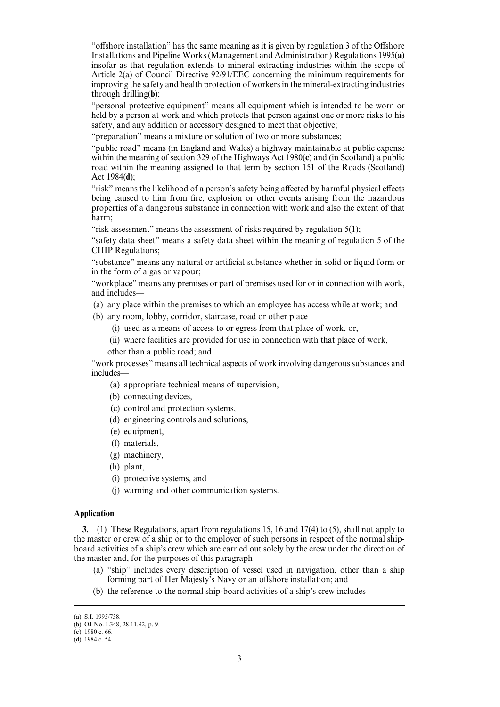"offshore installation" has the same meaning as it is given by regulation 3 of the Offshore Installations and Pipeline Works (Management and Administration) Regulations 1995(**a**) insofar as that regulation extends to mineral extracting industries within the scope of Article 2(a) of Council Directive 92/91/EEC concerning the minimum requirements for improving the safety and health protection of workers in the mineral-extracting industries through drilling(**b**);

"personal protective equipment" means all equipment which is intended to be worn or held by a person at work and which protects that person against one or more risks to his safety, and any addition or accessory designed to meet that objective;

"preparation" means a mixture or solution of two or more substances;

"public road" means (in England and Wales) a highway maintainable at public expense within the meaning of section 329 of the Highways Act 1980(**c**) and (in Scotland) a public road within the meaning assigned to that term by section 151 of the Roads (Scotland) Act 1984(**d**);

"risk" means the likelihood of a person's safety being affected by harmful physical effects being caused to him from fire, explosion or other events arising from the hazardous properties of a dangerous substance in connection with work and also the extent of that harm;

"risk assessment" means the assessment of risks required by regulation 5(1);

"safety data sheet" means a safety data sheet within the meaning of regulation 5 of the CHIP Regulations;

"substance" means any natural or artificial substance whether in solid or liquid form or in the form of a gas or vapour;

"workplace" means any premises or part of premises used for or in connection with work, and includes—

(a) any place within the premises to which an employee has access while at work; and

(b) any room, lobby, corridor, staircase, road or other place—

(i) used as a means of access to or egress from that place of work, or,

(ii) where facilities are provided for use in connection with that place of work,

other than a public road; and

"work processes" means all technical aspects of work involving dangerous substances and includes—

- (a) appropriate technical means of supervision,
- (b) connecting devices,
- (c) control and protection systems,
- (d) engineering controls and solutions,
- (e) equipment,
- (f) materials,
- (g) machinery,
- (h) plant,
- (i) protective systems, and
- (j) warning and other communication systems.

### **Application**

**3.**—(1) These Regulations, apart from regulations 15, 16 and 17(4) to (5), shall not apply to the master or crew of a ship or to the employer of such persons in respect of the normal shipboard activities of a ship's crew which are carried out solely by the crew under the direction of the master and, for the purposes of this paragraph—

- (a) "ship" includes every description of vessel used in navigation, other than a ship forming part of Her Majesty's Navy or an offshore installation; and
- (b) the reference to the normal ship-board activities of a ship's crew includes—

<sup>(</sup>a) S.I. 1995/738.

<sup>(</sup>b) OJ No. L348, 28.11.92, p. 9.

<sup>( 1980</sup> c. 66. **c**)

 $\overrightarrow{d}$ ) 1984 c. 54.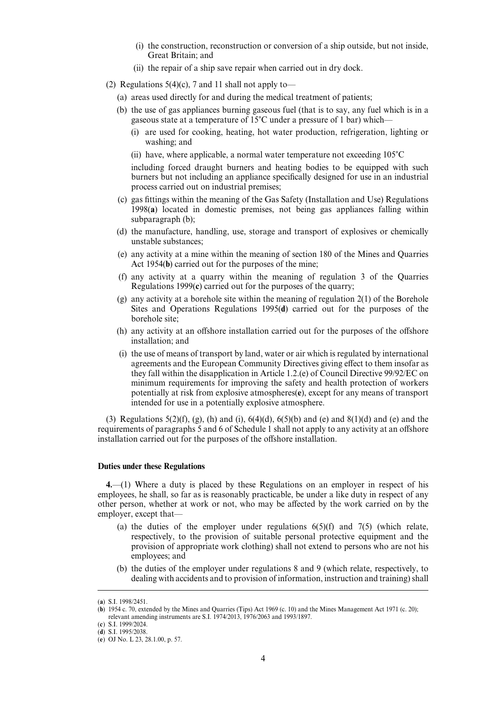- (i) the construction, reconstruction or conversion of a ship outside, but not inside, Great Britain; and
- (ii) the repair of a ship save repair when carried out in dry dock.

(2) Regulations  $5(4)(c)$ , 7 and 11 shall not apply to—

- (a) areas used directly for and during the medical treatment of patients;
- (b) the use of gas appliances burning gaseous fuel (that is to say, any fuel which is in a gaseous state at a temperature of  $15^{\circ}$ C under a pressure of 1 bar) which—
	- (i) are used for cooking, heating, hot water production, refrigeration, lighting or washing; and
	- (ii) have, where applicable, a normal water temperature not exceeding  $105^{\circ}$ C

including forced draught burners and heating bodies to be equipped with such burners but not including an appliance specifically designed for use in an industrial process carried out on industrial premises;

- (c) gas fittings within the meaning of the Gas Safety (Installation and Use) Regulations 1998(**a**) located in domestic premises, not being gas appliances falling within subparagraph (b);
- (d) the manufacture, handling, use, storage and transport of explosives or chemically unstable substances;
- (e) any activity at a mine within the meaning of section 180 of the Mines and Quarries Act 1954(**b**) carried out for the purposes of the mine;
- (f) any activity at a quarry within the meaning of regulation 3 of the Quarries Regulations 1999(**c**) carried out for the purposes of the quarry;
- (g) any activity at a borehole site within the meaning of regulation 2(1) of the Borehole Sites and Operations Regulations 1995(**d**) carried out for the purposes of the borehole site;
- (h) any activity at an offshore installation carried out for the purposes of the offshore installation; and
- (i) the use of means of transport by land, water or air which is regulated by international agreements and the European Community Directives giving effect to them insofar as they fall within the disapplication in Article 1.2.(e) of Council Directive 99/92/EC on minimum requirements for improving the safety and health protection of workers potentially at risk from explosive atmospheres(**e**), except for any means of transport intended for use in a potentially explosive atmosphere.

(3) Regulations  $5(2)(f)$ , (g), (h) and (i),  $6(4)(d)$ ,  $6(5)(b)$  and (e) and  $8(1)(d)$  and (e) and the requirements of paragraphs 5 and 6 of Schedule 1 shall not apply to any activity at an offshore installation carried out for the purposes of the offshore installation.

## **Duties under these Regulations**

**4.**—(1) Where a duty is placed by these Regulations on an employer in respect of his employees, he shall, so far as is reasonably practicable, be under a like duty in respect of any other person, whether at work or not, who may be affected by the work carried on by the employer, except that—

- (a) the duties of the employer under regulations  $6(5)(f)$  and  $7(5)$  (which relate, respectively, to the provision of suitable personal protective equipment and the provision of appropriate work clothing) shall not extend to persons who are not his employees; and
- (b) the duties of the employer under regulations 8 and 9 (which relate, respectively, to dealing with accidents and to provision of information, instruction and training) shall

<sup>(</sup>a) S.I. 1998/2451.

 $(b)$  1954 c. 70, extended by the Mines and Quarries (Tips) Act 1969 (c. 10) and the Mines Management Act 1971 (c. 20); relevant amending instruments are S.I. 1974/2013, 1976/2063 and 1993/1897.

<sup>(</sup>c) S.I. 1999/2024.

<sup>(</sup>d) S.I. 1995/2038.

<sup>(</sup>e) OJ No. L 23, 28.1.00, p. 57.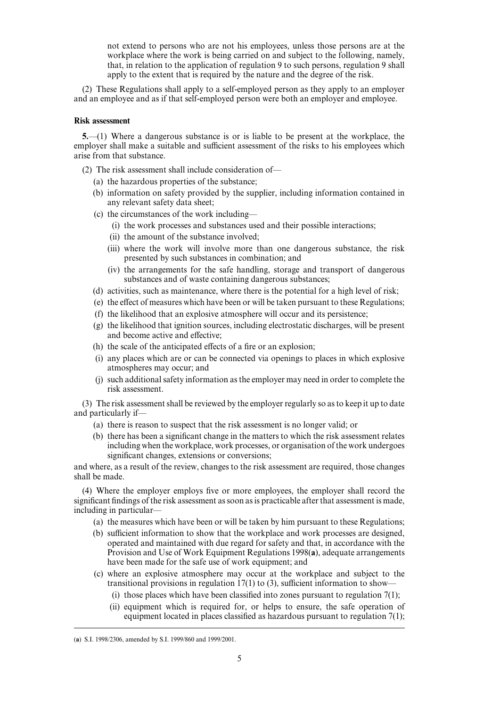not extend to persons who are not his employees, unless those persons are at the workplace where the work is being carried on and subject to the following, namely, that, in relation to the application of regulation 9 to such persons, regulation 9 shall apply to the extent that is required by the nature and the degree of the risk.

(2) These Regulations shall apply to a self-employed person as they apply to an employer and an employee and as if that self-employed person were both an employer and employee.

### **Risk assessment**

**5.**—(1) Where a dangerous substance is or is liable to be present at the workplace, the employer shall make a suitable and sufficient assessment of the risks to his employees which arise from that substance.

- (2) The risk assessment shall include consideration of—
	- (a) the hazardous properties of the substance;
	- (b) information on safety provided by the supplier, including information contained in any relevant safety data sheet;
	- (c) the circumstances of the work including—
		- (i) the work processes and substances used and their possible interactions;
		- (ii) the amount of the substance involved;
		- (iii) where the work will involve more than one dangerous substance, the risk presented by such substances in combination; and
		- (iv) the arrangements for the safe handling, storage and transport of dangerous substances and of waste containing dangerous substances;
	- (d) activities, such as maintenance, where there is the potential for a high level of risk;
	- (e) the effect of measures which have been or will be taken pursuant to these Regulations;
	- (f) the likelihood that an explosive atmosphere will occur and its persistence;
	- (g) the likelihood that ignition sources, including electrostatic discharges, will be present and become active and effective;
	- $(h)$  the scale of the anticipated effects of a fire or an explosion;
	- (i) any places which are or can be connected via openings to places in which explosive atmospheres may occur; and
	- (j) such additional safety information as the employer may need in order to complete the risk assessment.

(3) The risk assessment shall be reviewed by the employer regularly so as to keep it up to date and particularly if—

- (a) there is reason to suspect that the risk assessment is no longer valid; or
- (b) there has been a significant change in the matters to which the risk assessment relates including when the workplace, work processes, or organisation of the work undergoes significant changes, extensions or conversions;

and where, as a result of the review, changes to the risk assessment are required, those changes shall be made.

(4) Where the employer employs five or more employees, the employer shall record the significant findings of the risk assessment as soon as is practicable after that assessment is made, including in particular—

- (a) the measures which have been or will be taken by him pursuant to these Regulations;
- (b) sufficient information to show that the workplace and work processes are designed, operated and maintained with due regard for safety and that, in accordance with the Provision and Use of Work Equipment Regulations 1998(**a**), adequate arrangements have been made for the safe use of work equipment; and
- (c) where an explosive atmosphere may occur at the workplace and subject to the transitional provisions in regulation  $17(1)$  to (3), sufficient information to show-
	- (i) those places which have been classified into zones pursuant to regulation  $7(1)$ ;
	- (ii) equipment which is required for, or helps to ensure, the safe operation of equipment located in places classified as hazardous pursuant to regulation 7(1);

<sup>(</sup>a) S.I. 1998/2306, amended by S.I. 1999/860 and 1999/2001.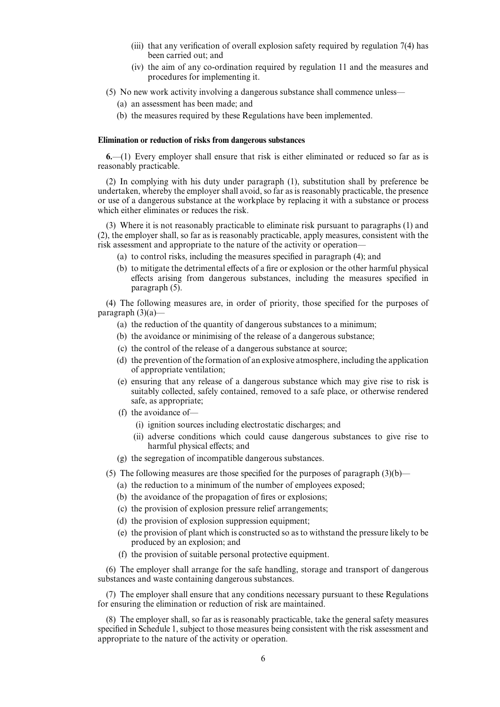- (iii) that any verification of overall explosion safety required by regulation 7(4) has been carried out; and
- (iv) the aim of any co-ordination required by regulation 11 and the measures and procedures for implementing it.
- (5) No new work activity involving a dangerous substance shall commence unless—
	- (a) an assessment has been made; and
	- (b) the measures required by these Regulations have been implemented.

## **Elimination or reduction of risks from dangerous substances**

**6.**—(1) Every employer shall ensure that risk is either eliminated or reduced so far as is reasonably practicable.

(2) In complying with his duty under paragraph (1), substitution shall by preference be undertaken, whereby the employer shall avoid, so far as is reasonably practicable, the presence or use of a dangerous substance at the workplace by replacing it with a substance or process which either eliminates or reduces the risk.

(3) Where it is not reasonably practicable to eliminate risk pursuant to paragraphs (1) and (2), the employer shall, so far as is reasonably practicable, apply measures, consistent with the risk assessment and appropriate to the nature of the activity or operation—

- (a) to control risks, including the measures specified in paragraph (4); and
- $(b)$  to mitigate the detrimental effects of a fire or explosion or the other harmful physical effects arising from dangerous substances, including the measures specified in paragraph (5).

(4) The following measures are, in order of priority, those specified for the purposes of paragraph  $(3)(a)$ —

- (a) the reduction of the quantity of dangerous substances to a minimum;
- (b) the avoidance or minimising of the release of a dangerous substance;
- (c) the control of the release of a dangerous substance at source;
- (d) the prevention of the formation of an explosive atmosphere, including the application of appropriate ventilation;
- (e) ensuring that any release of a dangerous substance which may give rise to risk is suitably collected, safely contained, removed to a safe place, or otherwise rendered safe, as appropriate;
- (f) the avoidance of—
	- (i) ignition sources including electrostatic discharges; and
	- (ii) adverse conditions which could cause dangerous substances to give rise to harmful physical effects; and
- (g) the segregation of incompatible dangerous substances.

(5) The following measures are those specified for the purposes of paragraph  $(3)(b)$ —

- (a) the reduction to a minimum of the number of employees exposed;
- (b) the avoidance of the propagation of fires or explosions;
- (c) the provision of explosion pressure relief arrangements;
- (d) the provision of explosion suppression equipment;
- (e) the provision of plant which is constructed so as to withstand the pressure likely to be produced by an explosion; and
- (f) the provision of suitable personal protective equipment.

(6) The employer shall arrange for the safe handling, storage and transport of dangerous substances and waste containing dangerous substances.

(7) The employer shall ensure that any conditions necessary pursuant to these Regulations for ensuring the elimination or reduction of risk are maintained.

(8) The employer shall, so far as is reasonably practicable, take the general safety measures specified in Schedule 1, subject to those measures being consistent with the risk assessment and appropriate to the nature of the activity or operation.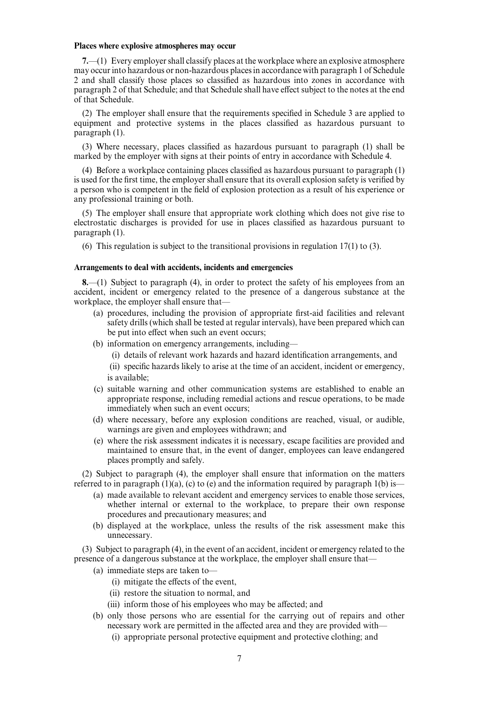## **Places where explosive atmospheres may occur**

**7.**—(1) Every employer shall classify places at the workplace where an explosive atmosphere may occur into hazardous or non-hazardous places in accordance with paragraph 1 of Schedule 2 and shall classify those places so classified as hazardous into zones in accordance with paragraph 2 of that Schedule; and that Schedule shall have effect subject to the notes at the end of that Schedule.

(2) The employer shall ensure that the requirements specified in Schedule 3 are applied to equipment and protective systems in the places classified as hazardous pursuant to paragraph (1).

(3) Where necessary, places classified as hazardous pursuant to paragraph (1) shall be marked by the employer with signs at their points of entry in accordance with Schedule 4.

(4) Before a workplace containing places classified as hazardous pursuant to paragraph (1) is used for the first time, the employer shall ensure that its overall explosion safety is verified by a person who is competent in the field of explosion protection as a result of his experience or any professional training or both.

(5) The employer shall ensure that appropriate work clothing which does not give rise to electrostatic discharges is provided for use in places classified as hazardous pursuant to paragraph (1).

(6) This regulation is subject to the transitional provisions in regulation 17(1) to (3).

## **Arrangements to deal with accidents, incidents and emergencies**

**8.**—(1) Subject to paragraph (4), in order to protect the safety of his employees from an accident, incident or emergency related to the presence of a dangerous substance at the workplace, the employer shall ensure that—

- (a) procedures, including the provision of appropriate first-aid facilities and relevant safety drills (which shall be tested at regular intervals), have been prepared which can be put into effect when such an event occurs;
- (b) information on emergency arrangements, including—
	- (i) details of relevant work hazards and hazard identification arrangements, and

(ii) specific hazards likely to arise at the time of an accident, incident or emergency, is available;

- (c) suitable warning and other communication systems are established to enable an appropriate response, including remedial actions and rescue operations, to be made immediately when such an event occurs;
- (d) where necessary, before any explosion conditions are reached, visual, or audible, warnings are given and employees withdrawn; and
- (e) where the risk assessment indicates it is necessary, escape facilities are provided and maintained to ensure that, in the event of danger, employees can leave endangered places promptly and safely.

(2) Subject to paragraph (4), the employer shall ensure that information on the matters referred to in paragraph  $(1)(a)$ ,  $(c)$  to  $(e)$  and the information required by paragraph 1(b) is—

- (a) made available to relevant accident and emergency services to enable those services, whether internal or external to the workplace, to prepare their own response procedures and precautionary measures; and
- (b) displayed at the workplace, unless the results of the risk assessment make this unnecessary.

(3) Subject to paragraph (4), in the event of an accident, incident or emergency related to the presence of a dangerous substance at the workplace, the employer shall ensure that—

- (a) immediate steps are taken to—
	- $(i)$  mitigate the effects of the event,
	- (ii) restore the situation to normal, and
	- (iii) inform those of his employees who may be affected; and
- (b) only those persons who are essential for the carrying out of repairs and other necessary work are permitted in the affected area and they are provided with—
	- (i) appropriate personal protective equipment and protective clothing; and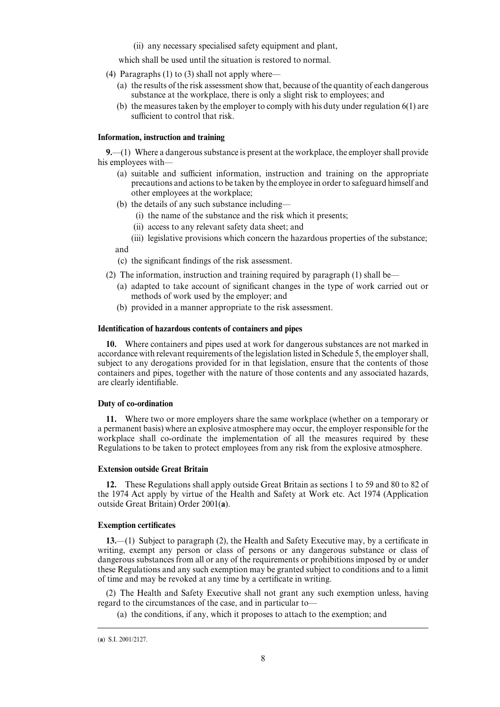(ii) any necessary specialised safety equipment and plant,

which shall be used until the situation is restored to normal.

(4) Paragraphs (1) to (3) shall not apply where—

- (a) the results of the risk assessment show that, because of the quantity of each dangerous substance at the workplace, there is only a slight risk to employees; and
- (b) the measures taken by the employer to comply with his duty under regulation 6(1) are sufficient to control that risk.

## **Information, instruction and training**

**9.**—(1) Where a dangerous substance is present at the workplace, the employer shall provide his employees with—

- (a) suitable and sufficient information, instruction and training on the appropriate precautions and actions to be taken by the employee in order to safeguard himself and other employees at the workplace;
- (b) the details of any such substance including—
	- (i) the name of the substance and the risk which it presents;
	- (ii) access to any relevant safety data sheet; and
	- (iii) legislative provisions which concern the hazardous properties of the substance;

and

(c) the significant findings of the risk assessment.

- (2) The information, instruction and training required by paragraph (1) shall be—
	- (a) adapted to take account of significant changes in the type of work carried out or methods of work used by the employer; and
	- (b) provided in a manner appropriate to the risk assessment.

## **Identification of hazardous contents of containers and pipes**

**10.** Where containers and pipes used at work for dangerous substances are not marked in accordance with relevant requirements of the legislation listed in Schedule 5, the employer shall, subject to any derogations provided for in that legislation, ensure that the contents of those containers and pipes, together with the nature of those contents and any associated hazards, are clearly identifiable.

## **Duty of co-ordination**

**11.** Where two or more employers share the same workplace (whether on a temporary or a permanent basis) where an explosive atmosphere may occur, the employer responsible for the workplace shall co-ordinate the implementation of all the measures required by these Regulations to be taken to protect employees from any risk from the explosive atmosphere.

## **Extension outside Great Britain**

**12.** These Regulations shall apply outside Great Britain as sections 1 to 59 and 80 to 82 of the 1974 Act apply by virtue of the Health and Safety at Work etc. Act 1974 (Application outside Great Britain) Order 2001(**a**).

#### **Exemption certificates**

**13.**—(1) Subject to paragraph (2), the Health and Safety Executive may, by a certificate in writing, exempt any person or class of persons or any dangerous substance or class of dangerous substances from all or any of the requirements or prohibitions imposed by or under these Regulations and any such exemption may be granted subject to conditions and to a limit of time and may be revoked at any time by a certificate in writing.

(2) The Health and Safety Executive shall not grant any such exemption unless, having regard to the circumstances of the case, and in particular to—

(a) the conditions, if any, which it proposes to attach to the exemption; and

 $(a)$  S.I. 2001/2127.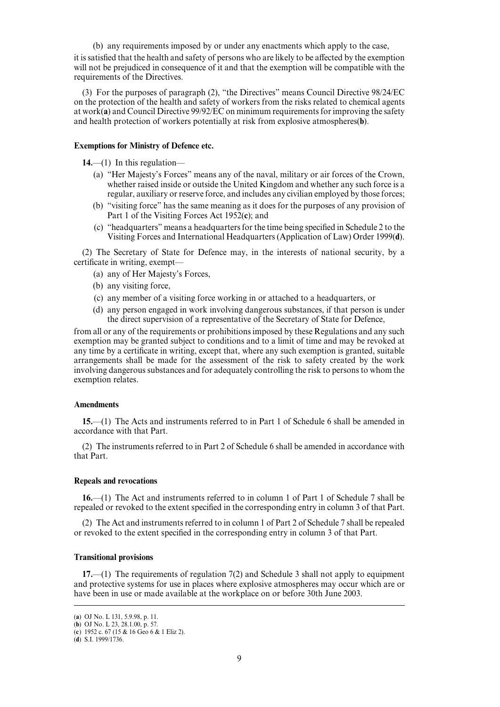(b) any requirements imposed by or under any enactments which apply to the case, it is satisfied that the health and safety of persons who are likely to be affected by the exemption will not be prejudiced in consequence of it and that the exemption will be compatible with the requirements of the Directives.

(3) For the purposes of paragraph (2), "the Directives" means Council Directive 98/24/EC on the protection of the health and safety of workers from the risks related to chemical agents at work(**a**) and Council Directive 99/92/EC on minimum requirements for improving the safety and health protection of workers potentially at risk from explosive atmospheres(**b**).

## **Exemptions for Ministry of Defence etc.**

**14.**—(1) In this regulation—

- (a) "Her Majesty's Forces" means any of the naval, military or air forces of the Crown, whether raised inside or outside the United Kingdom and whether any such force is a regular, auxiliary or reserve force, and includes any civilian employed by those forces;
- (b) "visiting force" has the same meaning as it does for the purposes of any provision of Part 1 of the Visiting Forces Act 1952(**c**); and
- (c) "headquarters" means a headquarters for the time being specified in Schedule 2 to the Visiting Forces and International Headquarters (Application of Law) Order 1999(**d**).

(2) The Secretary of State for Defence may, in the interests of national security, by a certificate in writing, exempt—

- (a) any of Her Majesty's Forces,
- (b) any visiting force,
- (c) any member of a visiting force working in or attached to a headquarters, or
- (d) any person engaged in work involving dangerous substances, if that person is under the direct supervision of a representative of the Secretary of State for Defence,

from all or any of the requirements or prohibitions imposed by these Regulations and any such exemption may be granted subject to conditions and to a limit of time and may be revoked at any time by a certificate in writing, except that, where any such exemption is granted, suitable arrangements shall be made for the assessment of the risk to safety created by the work involving dangerous substances and for adequately controlling the risk to persons to whom the exemption relates.

#### **Amendments**

**15.**—(1) The Acts and instruments referred to in Part 1 of Schedule 6 shall be amended in accordance with that Part.

(2) The instruments referred to in Part 2 of Schedule 6 shall be amended in accordance with that Part.

#### **Repeals and revocations**

**16.**—(1) The Act and instruments referred to in column 1 of Part 1 of Schedule 7 shall be repealed or revoked to the extent specified in the corresponding entry in column 3 of that Part.

(2) The Act and instruments referred to in column 1 of Part 2 of Schedule 7 shall be repealed or revoked to the extent specified in the corresponding entry in column 3 of that Part.

## **Transitional provisions**

**17.**—(1) The requirements of regulation 7(2) and Schedule 3 shall not apply to equipment and protective systems for use in places where explosive atmospheres may occur which are or have been in use or made available at the workplace on or before 30th June 2003.

<sup>(</sup>a) OJ No. L 131, 5.9.98, p. 11.

<sup>(</sup>b) OJ No. L 23, 28.1.00, p. 57.

<sup>( 1952</sup> c. 67 (15 & 16 Geo 6 & 1 Eliz 2). **c**)

 $(d)$  S.I. 1999/1736.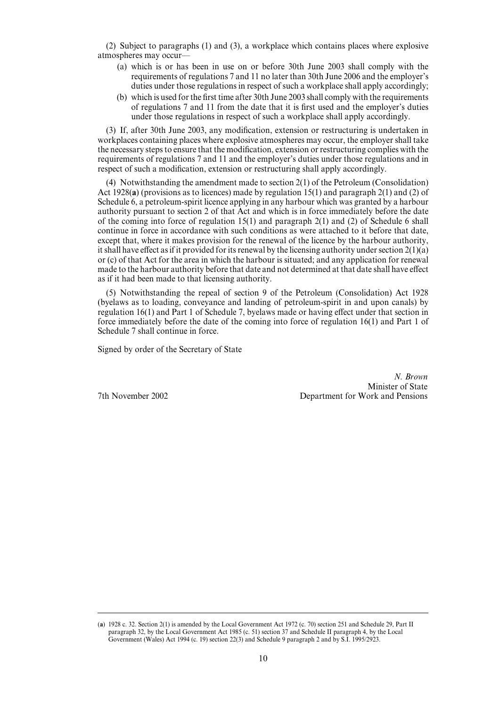(2) Subject to paragraphs (1) and (3), a workplace which contains places where explosive atmospheres may occur—

- (a) which is or has been in use on or before 30th June 2003 shall comply with the requirements of regulations 7 and 11 no later than 30th June 2006 and the employer's duties under those regulations in respect of such a workplace shall apply accordingly;
- (b) which is used for the first time after 30th June 2003 shall comply with the requirements of regulations 7 and 11 from the date that it is first used and the employer's duties under those regulations in respect of such a workplace shall apply accordingly.

(3) If, after 30th June 2003, any modification, extension or restructuring is undertaken in workplaces containing places where explosive atmospheres may occur, the employer shall take the necessary steps to ensure that the modification, extension or restructuring complies with the requirements of regulations 7 and 11 and the employer's duties under those regulations and in respect of such a modification, extension or restructuring shall apply accordingly.

(4) Notwithstanding the amendment made to section 2(1) of the Petroleum (Consolidation) Act 1928(**a**) (provisions as to licences) made by regulation 15(1) and paragraph 2(1) and (2) of Schedule 6, a petroleum-spirit licence applying in any harbour which was granted by a harbour authority pursuant to section 2 of that Act and which is in force immediately before the date of the coming into force of regulation  $15(1)$  and paragraph  $2(1)$  and  $(2)$  of Schedule 6 shall continue in force in accordance with such conditions as were attached to it before that date, except that, where it makes provision for the renewal of the licence by the harbour authority, it shall have effect as if it provided for its renewal by the licensing authority under section  $2(1)(a)$ or (c) of that Act for the area in which the harbour is situated; and any application for renewal made to the harbour authority before that date and not determined at that date shall have effect as if it had been made to that licensing authority.

(5) Notwithstanding the repeal of section 9 of the Petroleum (Consolidation) Act 1928 (byelaws as to loading, conveyance and landing of petroleum-spirit in and upon canals) by regulation  $16(1)$  and Part 1 of Schedule 7, byelaws made or having effect under that section in force immediately before the date of the coming into force of regulation 16(1) and Part 1 of Schedule 7 shall continue in force.

Signed by order of the Secretary of State

*N. Brown* Minister of State 7th November 2002 Department for Work and Pensions

<sup>(</sup>a)  $1928$  c. 32. Section  $2(1)$  is amended by the Local Government Act  $1972$  (c. 70) section 251 and Schedule 29, Part II paragraph 32, by the Local Government Act 1985 (c. 51) section 37 and Schedule II paragraph 4, by the Local Government (Wales) Act 1994 (c. 19) section 22(3) and Schedule 9 paragraph 2 and by S.I. 1995/2923.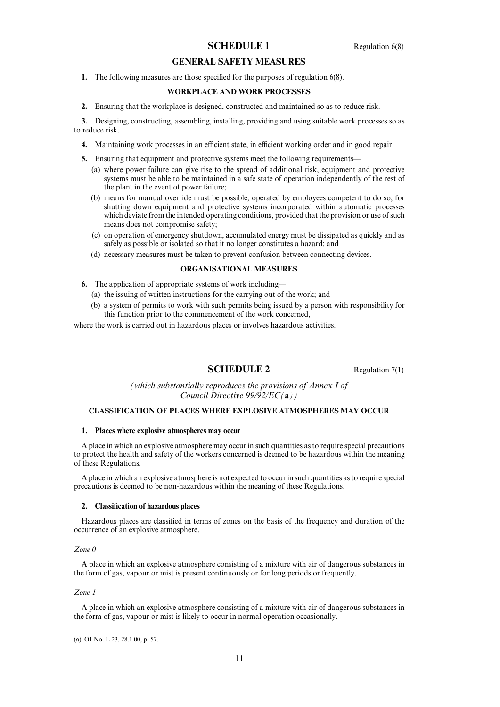## **SCHEDULE 1** Regulation 6(8)

## **GENERAL SAFETY MEASURES**

**1.** The following measures are those specified for the purposes of regulation 6(8).

## **WORKPLACE AND WORK PROCESSES**

**2.** Ensuring that the workplace is designed, constructed and maintained so as to reduce risk.

**3.** Designing, constructing, assembling, installing, providing and using suitable work processes so as to reduce risk.

- **4.** Maintaining work processes in an efficient state, in efficient working order and in good repair.
- **5.** Ensuring that equipment and protective systems meet the following requirements—
	- (a) where power failure can give rise to the spread of additional risk, equipment and protective systems must be able to be maintained in a safe state of operation independently of the rest of the plant in the event of power failure;
	- (b) means for manual override must be possible, operated by employees competent to do so, for shutting down equipment and protective systems incorporated within automatic processes which deviate from the intended operating conditions, provided that the provision or use of such means does not compromise safety;
	- (c) on operation of emergency shutdown, accumulated energy must be dissipated as quickly and as safely as possible or isolated so that it no longer constitutes a hazard; and
	- (d) necessary measures must be taken to prevent confusion between connecting devices.

### **ORGANISATIONAL MEASURES**

- **6.** The application of appropriate systems of work including—
	- (a) the issuing of written instructions for the carrying out of the work; and
	- (b) a system of permits to work with such permits being issued by a person with responsibility for this function prior to the commencement of the work concerned,

where the work is carried out in hazardous places or involves hazardous activities.

## **SCHEDULE 2** Regulation 7(1)

*(which substantially reproduces the provisions of Annex I of Council Directive 99/92/EC(***a***))*

## **CLASSIFICATION OF PLACES WHERE EXPLOSIVE ATMOSPHERES MAY OCCUR**

#### **1. Places where explosive atmospheres may occur**

A place in which an explosive atmosphere may occur in such quantities as to require special precautions to protect the health and safety of the workers concerned is deemed to be hazardous within the meaning of these Regulations.

A place in which an explosive atmosphere is not expected to occur in such quantities as to require special precautions is deemed to be non-hazardous within the meaning of these Regulations.

#### **2. Classification of hazardous places**

Hazardous places are classified in terms of zones on the basis of the frequency and duration of the occurrence of an explosive atmosphere.

### *Zone 0*

A place in which an explosive atmosphere consisting of a mixture with air of dangerous substances in the form of gas, vapour or mist is present continuously or for long periods or frequently.

### *Zone 1*

A place in which an explosive atmosphere consisting of a mixture with air of dangerous substances in the form of gas, vapour or mist is likely to occur in normal operation occasionally.

<sup>(</sup>a) OJ No. L 23, 28.1.00, p. 57.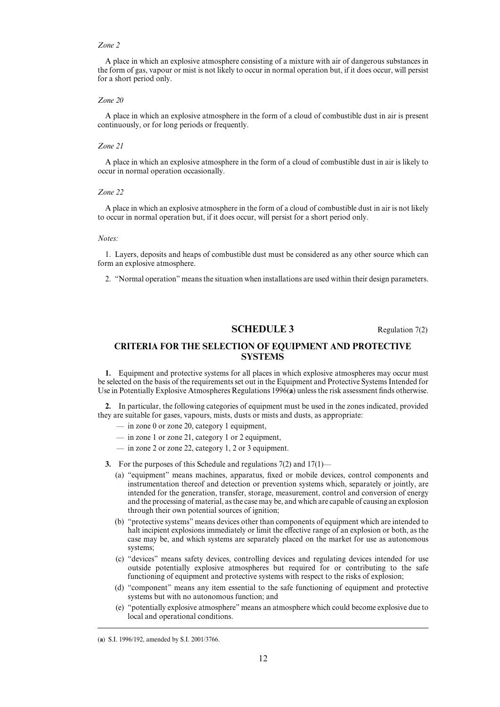#### *Zone 2*

A place in which an explosive atmosphere consisting of a mixture with air of dangerous substances in the form of gas, vapour or mist is not likely to occur in normal operation but, if it does occur, will persist for a short period only.

#### *Zone 20*

A place in which an explosive atmosphere in the form of a cloud of combustible dust in air is present continuously, or for long periods or frequently.

#### *Zone 21*

A place in which an explosive atmosphere in the form of a cloud of combustible dust in air is likely to occur in normal operation occasionally.

#### *Zone 22*

A place in which an explosive atmosphere in the form of a cloud of combustible dust in air is not likely to occur in normal operation but, if it does occur, will persist for a short period only.

#### *Notes:*

1. Layers, deposits and heaps of combustible dust must be considered as any other source which can form an explosive atmosphere.

2. "Normal operation" means the situation when installations are used within their design parameters.

## **SCHEDULE 3** Regulation 7(2)

## **CRITERIA FOR THE SELECTION OF EQUIPMENT AND PROTECTIVE SYSTEMS**

**1.** Equipment and protective systems for all places in which explosive atmospheres may occur must be selected on the basis of the requirements set out in the Equipment and Protective Systems Intended for Use in Potentially Explosive Atmospheres Regulations 1996(**a**) unless the risk assessment finds otherwise.

**2.** In particular, the following categories of equipment must be used in the zones indicated, provided they are suitable for gases, vapours, mists, dusts or mists and dusts, as appropriate:

- in zone 0 or zone 20, category 1 equipment,
- in zone 1 or zone 21, category 1 or 2 equipment,
- in zone 2 or zone 22, category 1, 2 or 3 equipment.

**3.** For the purposes of this Schedule and regulations 7(2) and 17(1)—

- (a) "equipment" means machines, apparatus, fixed or mobile devices, control components and instrumentation thereof and detection or prevention systems which, separately or jointly, are intended for the generation, transfer, storage, measurement, control and conversion of energy and the processing of material, as the case may be, and which are capable of causing an explosion through their own potential sources of ignition;
- (b) "protective systems" means devices other than components of equipment which are intended to halt incipient explosions immediately or limit the effective range of an explosion or both, as the case may be, and which systems are separately placed on the market for use as autonomous systems;
- (c) "devices" means safety devices, controlling devices and regulating devices intended for use outside potentially explosive atmospheres but required for or contributing to the safe functioning of equipment and protective systems with respect to the risks of explosion;
- (d) "component" means any item essential to the safe functioning of equipment and protective systems but with no autonomous function; and
- (e) "potentially explosive atmosphere" means an atmosphere which could become explosive due to local and operational conditions.

<sup>(</sup>a) S.I. 1996/192, amended by S.I. 2001/3766.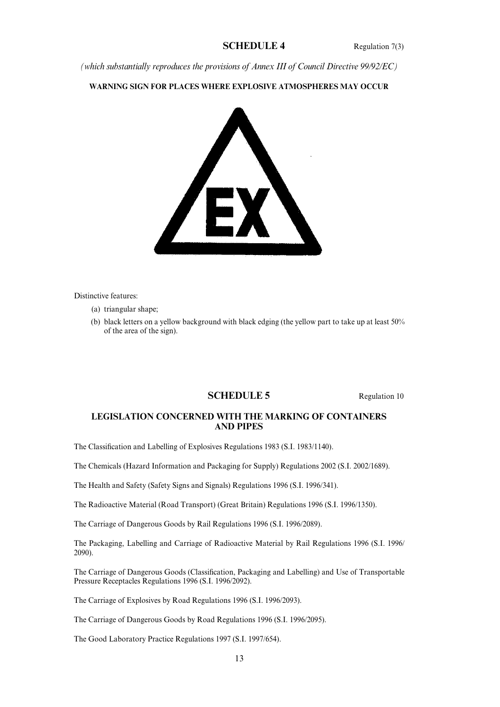## **SCHEDULE 4** Regulation 7(3)

*(which substantially reproduces the provisions of Annex III of Council Directive 99/92/EC)*

**WARNING SIGN FOR PLACES WHERE EXPLOSIVE ATMOSPHERES MAY OCCUR**



Distinctive features:

- (a) triangular shape;
- (b) black letters on a yellow background with black edging (the yellow part to take up at least 50% of the area of the sign).

## **SCHEDULE 5** Regulation 10

## **LEGISLATION CONCERNED WITH THE MARKING OF CONTAINERS AND PIPES**

The Classification and Labelling of Explosives Regulations 1983 (S.I. 1983/1140).

The Chemicals (Hazard Information and Packaging for Supply) Regulations 2002 (S.I. 2002/1689).

The Health and Safety (Safety Signs and Signals) Regulations 1996 (S.I. 1996/341).

The Radioactive Material (Road Transport) (Great Britain) Regulations 1996 (S.I. 1996/1350).

The Carriage of Dangerous Goods by Rail Regulations 1996 (S.I. 1996/2089).

The Packaging, Labelling and Carriage of Radioactive Material by Rail Regulations 1996 (S.I. 1996/ 2090).

The Carriage of Dangerous Goods (Classification, Packaging and Labelling) and Use of Transportable Pressure Receptacles Regulations 1996 (S.I. 1996/2092).

The Carriage of Explosives by Road Regulations 1996 (S.I. 1996/2093).

The Carriage of Dangerous Goods by Road Regulations 1996 (S.I. 1996/2095).

The Good Laboratory Practice Regulations 1997 (S.I. 1997/654).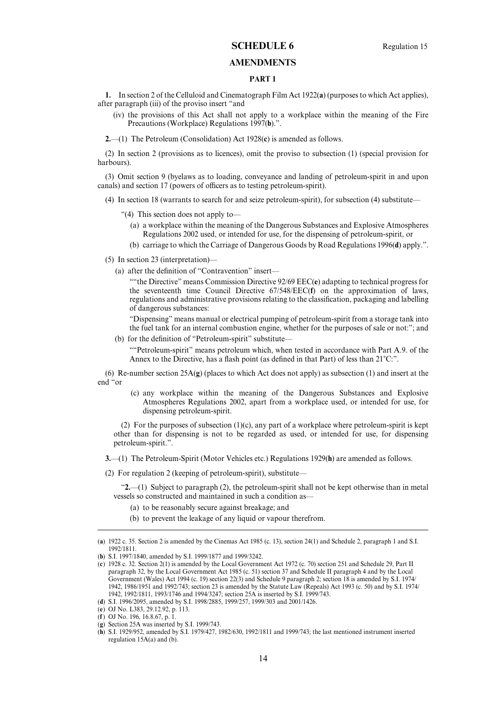## **SCHEDULE 6** Regulation 15

## **AMENDMENTS**

## **PART 1**

**1.** In section 2 of the Celluloid and Cinematograph Film Act 1922(**a**) (purposes to which Act applies), after paragraph (iii) of the proviso insert "and

(iv) the provisions of this Act shall not apply to a workplace within the meaning of the Fire Precautions (Workplace) Regulations 1997(**b**).".

**2.**—(1) The Petroleum (Consolidation) Act 1928(**c**) is amended as follows.

(2) In section 2 (provisions as to licences), omit the proviso to subsection (1) (special provision for harbours).

(3) Omit section 9 (byelaws as to loading, conveyance and landing of petroleum-spirit in and upon canals) and section 17 (powers of officers as to testing petroleum-spirit).

(4) In section 18 (warrants to search for and seize petroleum-spirit), for subsection (4) substitute—

- "(4) This section does not apply to—
	- (a) a workplace within the meaning of the Dangerous Substances and Explosive Atmospheres Regulations 2002 used, or intended for use, for the dispensing of petroleum-spirit, or
	- (b) carriage to which the Carriage of Dangerous Goods by Road Regulations 1996(**d**) apply.".
- (5) In section 23 (interpretation)—
	- (a) after the definition of "Contravention" insert—

""the Directive" means Commission Directive 92/69 EEC(**e**) adapting to technical progress for the seventeenth time Council Directive 67/548/EEC(**f**) on the approximation of laws, regulations and administrative provisions relating to the classification, packaging and labelling of dangerous substances:

"Dispensing" means manual or electrical pumping of petroleum-spirit from a storage tank into the fuel tank for an internal combustion engine, whether for the purposes of sale or not:"; and

(b) for the definition of "Petroleum-spirit" substitute-""Petroleum-spirit" means petroleum which, when tested in accordance with Part A.9. of the Annex to the Directive, has a flash point (as defined in that Part) of less than  $21^{\circ}$ C:".

(6) Re-number section 25A(**g**) (places to which Act does not apply) as subsection (1) and insert at the end "or

(c) any workplace within the meaning of the Dangerous Substances and Explosive Atmospheres Regulations 2002, apart from a workplace used, or intended for use, for dispensing petroleum-spirit.

(2) For the purposes of subsection (1)(c), any part of a workplace where petroleum-spirit is kept other than for dispensing is not to be regarded as used, or intended for use, for dispensing petroleum-spirit.".

**3.**—(1) The Petroleum-Spirit (Motor Vehicles etc.) Regulations 1929(**h**) are amended as follows.

(2) For regulation 2 (keeping of petroleum-spirit), substitute—

"**2.**—(1) Subject to paragraph (2), the petroleum-spirit shall not be kept otherwise than in metal vessels so constructed and maintained in such a condition as—

- (a) to be reasonably secure against breakage; and
- (b) to prevent the leakage of any liquid or vapour therefrom.

(**d**) S.I. 1996/2095, amended by S.I. 1998/2885, 1999/257, 1999/303 and 2001/1426.

(e) OJ No. L383, 29.12.92, p. 113.

<sup>( 1922</sup> c. 35. Section 2 is amended by the Cinemas Act 1985 (c. 13), section 24(1) and Schedule 2, paragraph 1 and S.I. **a**) 1992/1811.

<sup>(</sup>**b**) S.I. 1997/1840, amended by S.I. 1999/1877 and 1999/3242.

<sup>(</sup>c) 1928 c. 32. Section 2(1) is amended by the Local Government Act 1972 (c. 70) section 251 and Schedule 29, Part II paragraph 32, by the Local Government Act 1985 (c. 51) section 37 and Schedule II paragraph 4 and by the Local Government (Wales) Act 1994 (c. 19) section 22(3) and Schedule 9 paragraph 2; section 18 is amended by S.I. 1974/ 1942, 1986/1951 and 1992/743; section 23 is amended by the Statute Law (Repeals) Act 1993 (c. 50) and by S.I. 1974/ 1942, 1992/1811, 1993/1746 and 1994/3247; section 25A is inserted by S.I. 1999/743.

<sup>(</sup>**f**) OJ No. 196, 16.8.67, p. 1.

 $(g)$  Section 25A was inserted by S.I. 1999/743.

<sup>(</sup>**h**) S.I. 1929/952, amended by S.I. 1979/427, 1982/630, 1992/1811 and 1999/743; the last mentioned instrument inserted regulation  $15A(a)$  and (b).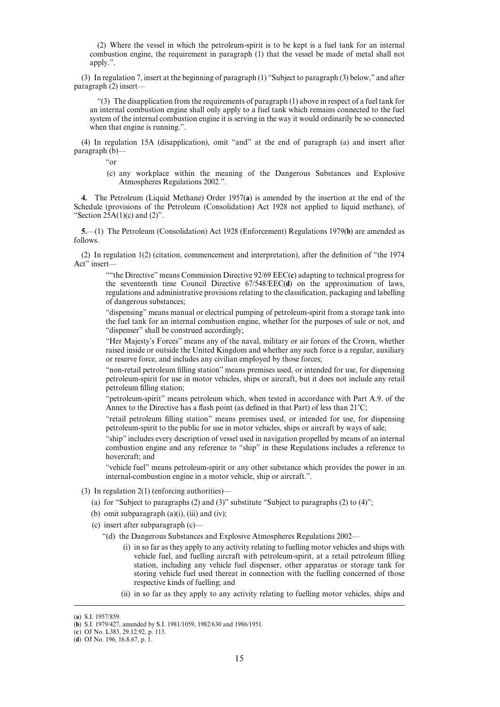(2) Where the vessel in which the petroleum-spirit is to be kept is a fuel tank for an internal combustion engine, the requirement in paragraph (1) that the vessel be made of metal shall not apply.".

(3) In regulation 7, insert at the beginning of paragraph (1) "Subject to paragraph (3) below," and after paragraph (2) insert—

 $(3)$  The disapplication from the requirements of paragraph (1) above in respect of a fuel tank for an internal combustion engine shall only apply to a fuel tank which remains connected to the fuel system of the internal combustion engine it is serving in the way it would ordinarily be so connected when that engine is running.".

(4) In regulation 15A (disapplication), omit "and" at the end of paragraph (a) and insert after paragraph (b)—

"or

(c) any workplace within the meaning of the Dangerous Substances and Explosive Atmospheres Regulations 2002.".

**4.** The Petroleum (Liquid Methane) Order 1957(**a**) is amended by the insertion at the end of the Schedule (provisions of the Petroleum (Consolidation) Act 1928 not applied to liquid methane), of "Section  $25A(1)(c)$  and  $(2)$ ".

**5.**—(1) The Petroleum (Consolidation) Act 1928 (Enforcement) Regulations 1979(**b**) are amended as follows.

(2) In regulation 1(2) (citation, commencement and interpretation), after the definition of "the 1974 Act" insert-

""the Directive" means Commission Directive 92/69 EEC(**c**) adapting to technical progress for the seventeenth time Council Directive 67/548/EEC(**d**) on the approximation of laws, regulations and administrative provisions relating to the classification, packaging and labelling of dangerous substances;

"dispensing" means manual or electrical pumping of petroleum-spirit from a storage tank into the fuel tank for an internal combustion engine, whether for the purposes of sale or not, and "dispenser" shall be construed accordingly;

"Her Majesty's Forces" means any of the naval, military or air forces of the Crown, whether raised inside or outside the United Kingdom and whether any such force is a regular, auxiliary or reserve force, and includes any civilian employed by those forces;

"non-retail petroleum filling station" means premises used, or intended for use, for dispensing petroleum-spirit for use in motor vehicles, ships or aircraft, but it does not include any retail petroleum filling station;

"petroleum-spirit" means petroleum which, when tested in accordance with Part A.9. of the Annex to the Directive has a flash point (as defined in that Part) of less than  $21^{\circ}$ C;

"retail petroleum filling station" means premises used, or intended for use, for dispensing petroleum-spirit to the public for use in motor vehicles, ships or aircraft by ways of sale;

"ship" includes every description of vessel used in navigation propelled by means of an internal combustion engine and any reference to "ship" in these Regulations includes a reference to hovercraft; and

"vehicle fuel" means petroleum-spirit or any other substance which provides the power in an internal-combustion engine in a motor vehicle, ship or aircraft.".

- (3) In regulation 2(1) (enforcing authorities)—
	- (a) for "Subject to paragraphs (2) and (3)" substitute "Subject to paragraphs (2) to (4)";
	- (b) omit subparagraph  $(a)(i)$ ,  $(iii)$  and  $(iv)$ ;
	- (c) insert after subparagraph (c)—
		- "(d) the Dangerous Substances and Explosive Atmospheres Regulations 2002—
			- (i) in so far as they apply to any activity relating to fuelling motor vehicles and ships with vehicle fuel, and fuelling aircraft with petroleum-spirit, at a retail petroleum filling station, including any vehicle fuel dispenser, other apparatus or storage tank for storing vehicle fuel used thereat in connection with the fuelling concerned of those respective kinds of fuelling; and
			- (ii) in so far as they apply to any activity relating to fuelling motor vehicles, ships and

<sup>(</sup>a) S.I. 1957/859.

<sup>(</sup>b) S.I. 1979/427, amended by S.I. 1981/1059, 1982/630 and 1986/1951.

<sup>(</sup>c) OJ No. L383, 29.12.92, p. 113.

<sup>(</sup>d) OJ No. 196, 16.8.67, p. 1.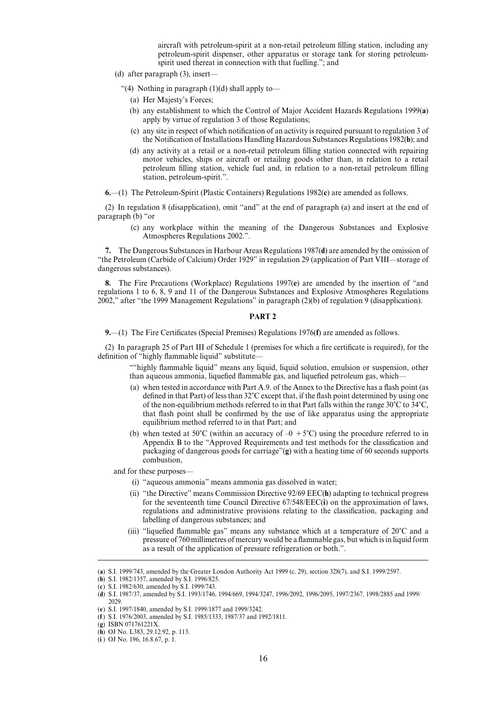aircraft with petroleum-spirit at a non-retail petroleum filling station, including any petroleum-spirit dispenser, other apparatus or storage tank for storing petroleumspirit used thereat in connection with that fuelling."; and

- (d) after paragraph (3), insert—
	- "(4) Nothing in paragraph  $(1)(d)$  shall apply to-
		- (a) Her Majesty's Forces;
		- (b) any establishment to which the Control of Major Accident Hazards Regulations 1999(**a**) apply by virtue of regulation 3 of those Regulations;
		- (c) any site in respect of which notification of an activity is required pursuant to regulation 3 of the Notification of Installations Handling Hazardous Substances Regulations 1982(**b**); and
		- (d) any activity at a retail or a non-retail petroleum filling station connected with repairing motor vehicles, ships or aircraft or retailing goods other than, in relation to a retail petroleum filling station, vehicle fuel and, in relation to a non-retail petroleum filling station, petroleum-spirit.".
- **6.**—(1) The Petroleum-Spirit (Plastic Containers) Regulations 1982(**c**) are amended as follows.

(2) In regulation 8 (disapplication), omit "and" at the end of paragraph (a) and insert at the end of paragraph (b) "or

(c) any workplace within the meaning of the Dangerous Substances and Explosive Atmospheres Regulations 2002.".

**7.** The Dangerous Substances in Harbour Areas Regulations 1987(**d**) are amended by the omission of "the Petroleum (Carbide of Calcium) Order 1929" in regulation 29 (application of Part VIII—storage of dangerous substances).

**8.** The Fire Precautions (Workplace) Regulations 1997(**e**) are amended by the insertion of "and regulations 1 to 6, 8, 9 and 11 of the Dangerous Substances and Explosive Atmospheres Regulations 2002," after "the 1999 Management Regulations" in paragraph (2)(b) of regulation 9 (disapplication).

## **PART 2**

**9.**—(1) The Fire Certificates (Special Premises) Regulations 1976(**f**) are amended as follows.

(2) In paragraph 25 of Part III of Schedule 1 (premises for which a fire certificate is required), for the definition of "highly flammable liquid" substitute-

""highly flammable liquid" means any liquid, liquid solution, emulsion or suspension, other than aqueous ammonia, liquefied flammable gas, and liquefied petroleum gas, which—

- (a) when tested in accordance with Part A.9. of the Annex to the Directive has a flash point (as defined in that Part) of less than 32°C except that, if the flash point determined by using one of the non-equilibrium methods referred to in that Part falls within the range  $30^{\circ}$ C to  $34^{\circ}$ C, that flash point shall be confirmed by the use of like apparatus using the appropriate equilibrium method referred to in that Part; and
- (b) when tested at 50°C (within an accuracy of  $-0 + 5$ °C) using the procedure referred to in Appendix B to the "Approved Requirements and test methods for the classification and packaging of dangerous goods for carriage"(**g**) with a heating time of 60 seconds supports combustion,

and for these purposes—

- (i) "aqueous ammonia" means ammonia gas dissolved in water;
- (ii) "the Directive" means Commission Directive 92/69 EEC(**h**) adapting to technical progress for the seventeenth time Council Directive 67/548/EEC(**i**) on the approximation of laws, regulations and administrative provisions relating to the classification, packaging and labelling of dangerous substances; and
- (iii) "liquefied flammable gas" means any substance which at a temperature of  $20^{\circ}$ C and a pressure of 760 millimetres of mercury would be a flammable gas, but which is in liquid form as a result of the application of pressure refrigeration or both.".

<sup>(</sup>a) S.I. 1999/743, amended by the Greater London Authority Act 1999 (c. 29), section 328(7), and S.I. 1999/2597.

<sup>(</sup>b) S.I. 1982/1357, amended by S.I. 1996/825.

<sup>(</sup>c) S.I. 1982/630, amended by S.I. 1999/743.

<sup>(</sup>d) S.I. 1987/37, amended by S.I. 1993/1746, 1994/669, 1994/3247, 1996/2092, 1996/2095, 1997/2367, 1998/2885 and 1999/ 2029.

<sup>(</sup>e) S.I. 1997/1840, amended by S.I. 1999/1877 and 1999/3242.

<sup>(</sup>f) S.I. 1976/2003, amended by S.I. 1985/1333, 1987/37 and 1992/1811.

<sup>(</sup>g) ISBN 071761221X.

<sup>(</sup>h) OJ No. L383, 29.12.92, p. 113.

<sup>(</sup>**i**) OJ No. 196, 16.8.67, p. 1.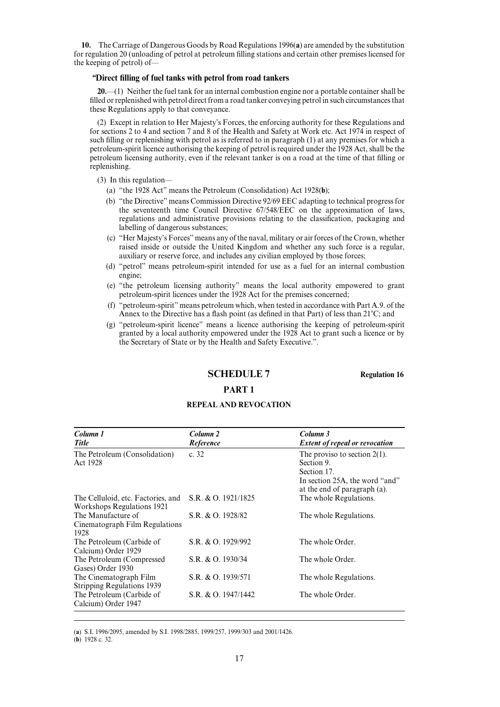**10.** The Carriage of Dangerous Goods by Road Regulations 1996(**a**) are amended by the substitution for regulation 20 (unloading of petrol at petroleum filling stations and certain other premises licensed for the keeping of petrol) of—

## *"***Direct filling of fuel tanks with petrol from road tankers**

**20.**—(1) Neither the fuel tank for an internal combustion engine nor a portable container shall be filled or replenished with petrol direct from a road tanker conveying petrol in such circumstances that these Regulations apply to that conveyance.

(2) Except in relation to Her Majesty's Forces, the enforcing authority for these Regulations and for sections 2 to 4 and section 7 and 8 of the Health and Safety at Work etc. Act 1974 in respect of such filling or replenishing with petrol as is referred to in paragraph (1) at any premises for which a petroleum-spirit licence authorising the keeping of petrol is required under the 1928 Act, shall be the petroleum licensing authority, even if the relevant tanker is on a road at the time of that filling or replenishing.

(3) In this regulation—

- (a) "the 1928 Act" means the Petroleum (Consolidation) Act 1928(**b**);
- (b) "the Directive" means Commission Directive 92/69 EEC adapting to technical progress for the seventeenth time Council Directive 67/548/EEC on the approximation of laws, regulations and administrative provisions relating to the classification, packaging and labelling of dangerous substances;
- (c) "Her Majesty's Forces" means any of the naval, military or air forces of the Crown, whether raised inside or outside the United Kingdom and whether any such force is a regular, auxiliary or reserve force, and includes any civilian employed by those forces;
- (d) "petrol" means petroleum-spirit intended for use as a fuel for an internal combustion engine;
- (e) "the petroleum licensing authority" means the local authority empowered to grant petroleum-spirit licences under the 1928 Act for the premises concerned;
- (f) "petroleum-spirit" means petroleum which, when tested in accordance with Part A.9. of the Annex to the Directive has a flash point (as defined in that Part) of less than  $21^{\circ}$ C; and
- (g) "petroleum-spirit licence" means a licence authorising the keeping of petroleum-spirit granted by a local authority empowered under the 1928 Act to grant such a licence or by the Secretary of State or by the Health and Safety Executive.".

**SCHEDULE 7 Regulation 16** 

## **PART 1**

## **REPEAL AND REVOCATION**

| Column 1<br><b>Title</b>                                         | Column <sub>2</sub><br>Reference | Column 3<br><b>Extent of repeal or revocation</b>                                                                              |
|------------------------------------------------------------------|----------------------------------|--------------------------------------------------------------------------------------------------------------------------------|
| The Petroleum (Consolidation)<br>Act 1928                        | c. $32$                          | The proviso to section $2(1)$ .<br>Section 9.<br>Section 17.<br>In section 25A, the word "and"<br>at the end of paragraph (a). |
| The Celluloid, etc. Factories, and<br>Workshops Regulations 1921 | S.R. & O. 1921/1825              | The whole Regulations.                                                                                                         |
| The Manufacture of<br>Cinematograph Film Regulations<br>1928     | S.R. & O. 1928/82                | The whole Regulations.                                                                                                         |
| The Petroleum (Carbide of<br>Calcium) Order 1929                 | S.R. & O. 1929/992               | The whole Order.                                                                                                               |
| The Petroleum (Compressed<br>Gases) Order 1930                   | S.R. & O. 1930/34                | The whole Order.                                                                                                               |
| The Cinematograph Film<br><b>Stripping Regulations 1939</b>      | S.R. & O. 1939/571               | The whole Regulations.                                                                                                         |
| The Petroleum (Carbide of<br>Calcium) Order 1947                 | S.R. & O. 1947/1442              | The whole Order.                                                                                                               |

(a) S.I. 1996/2095, amended by S.I. 1998/2885, 1999/257, 1999/303 and 2001/1426.

 $(b)$  1928 c. 32.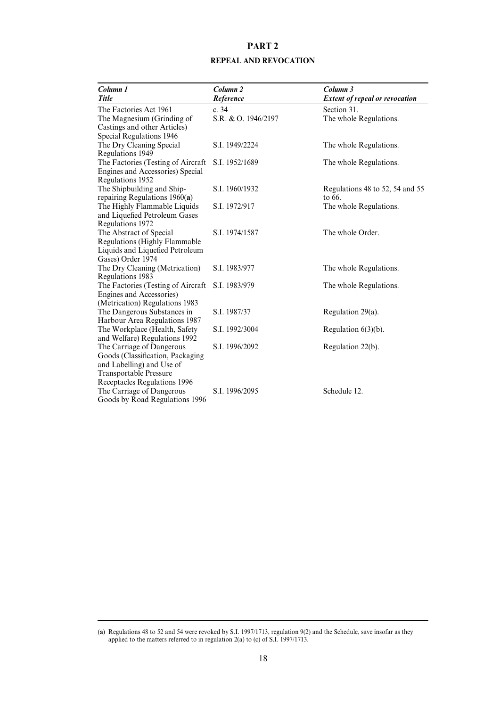# **PART 2 REPEAL AND REVOCATION**

| Column 1                                                      | Column <sub>2</sub> | Column 3                              |
|---------------------------------------------------------------|---------------------|---------------------------------------|
| <b>Title</b>                                                  | Reference           | <b>Extent of repeal or revocation</b> |
| The Factories Act 1961                                        | c. 34               | Section 31.                           |
| The Magnesium (Grinding of                                    | S.R. & O. 1946/2197 | The whole Regulations.                |
| Castings and other Articles)                                  |                     |                                       |
| Special Regulations 1946                                      |                     |                                       |
| The Dry Cleaning Special                                      | S.I. 1949/2224      | The whole Regulations.                |
| Regulations 1949                                              |                     |                                       |
| The Factories (Testing of Aircraft                            | S.I. 1952/1689      | The whole Regulations.                |
| Engines and Accessories) Special                              |                     |                                       |
| Regulations 1952                                              |                     |                                       |
| The Shipbuilding and Ship-                                    | S.I. 1960/1932      | Regulations 48 to 52, 54 and 55       |
| repairing Regulations 1960(a)<br>The Highly Flammable Liquids |                     | to 66.                                |
| and Liquefied Petroleum Gases                                 | S.I. 1972/917       | The whole Regulations.                |
| Regulations 1972                                              |                     |                                       |
| The Abstract of Special                                       | S.I. 1974/1587      | The whole Order.                      |
| Regulations (Highly Flammable                                 |                     |                                       |
| Liquids and Liquefied Petroleum                               |                     |                                       |
| Gases) Order 1974                                             |                     |                                       |
| The Dry Cleaning (Metrication)                                | S.I. 1983/977       | The whole Regulations.                |
| Regulations 1983                                              |                     |                                       |
| The Factories (Testing of Aircraft                            | S.I. 1983/979       | The whole Regulations.                |
| Engines and Accessories)                                      |                     |                                       |
| (Metrication) Regulations 1983                                |                     |                                       |
| The Dangerous Substances in                                   | S.I. 1987/37        | Regulation $29(a)$ .                  |
| Harbour Area Regulations 1987                                 |                     |                                       |
| The Workplace (Health, Safety                                 | S.I. 1992/3004      | Regulation $6(3)(b)$ .                |
| and Welfare) Regulations 1992                                 |                     |                                       |
| The Carriage of Dangerous<br>Goods (Classification, Packaging | S.I. 1996/2092      | Regulation 22(b).                     |
| and Labelling) and Use of                                     |                     |                                       |
| <b>Transportable Pressure</b>                                 |                     |                                       |
| Receptacles Regulations 1996                                  |                     |                                       |
| The Carriage of Dangerous                                     | S.I. 1996/2095      | Schedule 12.                          |
| Goods by Road Regulations 1996                                |                     |                                       |
|                                                               |                     |                                       |

<sup>(</sup>a) Regulations 48 to 52 and 54 were revoked by S.I. 1997/1713, regulation 9(2) and the Schedule, save insofar as they applied to the matters referred to in regulation 2(a) to (c) of S.I. 1997/1713.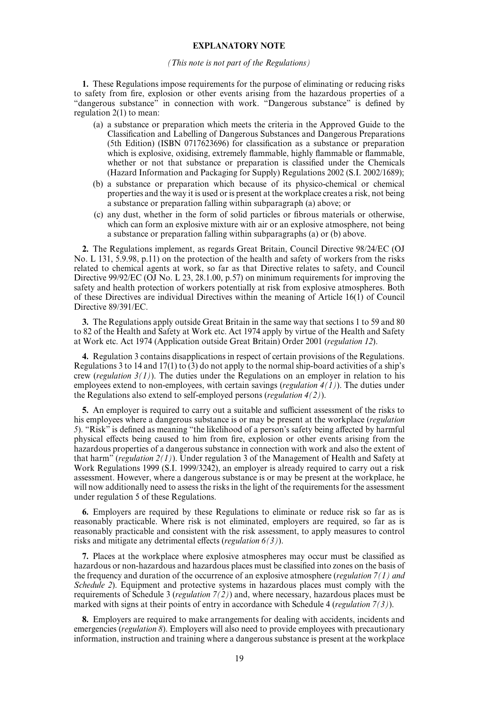### **EXPLANATORY NOTE**

#### *(This note is not part of the Regulations)*

**1.** These Regulations impose requirements for the purpose of eliminating or reducing risks to safety from fire, explosion or other events arising from the hazardous properties of a "dangerous substance" in connection with work. "Dangerous substance" is defined by regulation 2(1) to mean:

- (a) a substance or preparation which meets the criteria in the Approved Guide to the Classification and Labelling of Dangerous Substances and Dangerous Preparations (5th Edition) (ISBN 0717623696) for classification as a substance or preparation which is explosive, oxidising, extremely flammable, highly flammable or flammable, whether or not that substance or preparation is classified under the Chemicals (Hazard Information and Packaging for Supply) Regulations 2002 (S.I. 2002/1689);
- (b) a substance or preparation which because of its physico-chemical or chemical properties and the way it is used or is present at the workplace creates a risk, not being a substance or preparation falling within subparagraph (a) above; or
- (c) any dust, whether in the form of solid particles or fibrous materials or otherwise, which can form an explosive mixture with air or an explosive atmosphere, not being a substance or preparation falling within subparagraphs (a) or (b) above.

**2.** The Regulations implement, as regards Great Britain, Council Directive 98/24/EC (OJ No. L 131, 5.9.98, p.11) on the protection of the health and safety of workers from the risks related to chemical agents at work, so far as that Directive relates to safety, and Council Directive 99/92/EC (OJ No. L 23, 28.1.00, p.57) on minimum requirements for improving the safety and health protection of workers potentially at risk from explosive atmospheres. Both of these Directives are individual Directives within the meaning of Article 16(1) of Council Directive 89/391/EC.

**3.** The Regulations apply outside Great Britain in the same way that sections 1 to 59 and 80 to 82 of the Health and Safety at Work etc. Act 1974 apply by virtue of the Health and Safety at Work etc. Act 1974 (Application outside Great Britain) Order 2001 (*regulation 12*).

**4.** Regulation 3 contains disapplications in respect of certain provisions of the Regulations. Regulations 3 to 14 and 17(1) to (3) do not apply to the normal ship-board activities of a ship's crew (*regulation 3(1)*). The duties under the Regulations on an employer in relation to his employees extend to non-employees, with certain savings (*regulation 4(1)*). The duties under the Regulations also extend to self-employed persons (*regulation 4(2)*).

**5.** An employer is required to carry out a suitable and sufficient assessment of the risks to his employees where a dangerous substance is or may be present at the workplace (*regulation* 5). "Risk" is defined as meaning "the likelihood of a person's safety being affected by harmful physical effects being caused to him from fire, explosion or other events arising from the hazardous properties of a dangerous substance in connection with work and also the extent of that harm" (*regulation 2(1)*). Under regulation 3 of the Management of Health and Safety at Work Regulations 1999 (S.I. 1999/3242), an employer is already required to carry out a risk assessment. However, where a dangerous substance is or may be present at the workplace, he will now additionally need to assess the risks in the light of the requirements for the assessment under regulation 5 of these Regulations.

**6.** Employers are required by these Regulations to eliminate or reduce risk so far as is reasonably practicable. Where risk is not eliminated, employers are required, so far as is reasonably practicable and consistent with the risk assessment, to apply measures to control risks and mitigate any detrimental effects (*regulation* 6(3)).

**7.** Places at the workplace where explosive atmospheres may occur must be classified as hazardous or non-hazardous and hazardous places must be classified into zones on the basis of the frequency and duration of the occurrence of an explosive atmosphere (*regulation 7(1) and Schedule 2*). Equipment and protective systems in hazardous places must comply with the requirements of Schedule 3 (*regulation 7(2)*) and, where necessary, hazardous places must be marked with signs at their points of entry in accordance with Schedule 4 (*regulation 7(3)*).

**8.** Employers are required to make arrangements for dealing with accidents, incidents and emergencies (*regulation 8*). Employers will also need to provide employees with precautionary information, instruction and training where a dangerous substance is present at the workplace